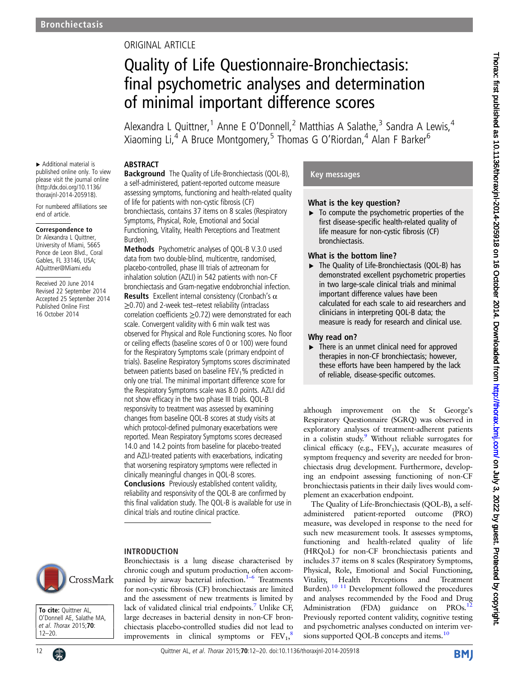# ORIGINAL ARTICLE

# Quality of Life Questionnaire-Bronchiectasis: final psychometric analyses and determination of minimal important difference scores

Alexandra L Quittner,<sup>1</sup> Anne E O'Donnell,<sup>2</sup> Matthias A Salathe,<sup>3</sup> Sandra A Lewis,<sup>4</sup> Xiaoming Li, $4$  A Bruce Montgomery,<sup>5</sup> Thomas G O'Riordan, $4$  Alan F Barker<sup>6</sup>

### ABSTRACT

▸ Additional material is published online only. To view please visit the journal online [\(http://dx.doi.org/10.1136/](http://dx.doi.org/10.1136/thoraxjnl-2014-205918) [thoraxjnl-2014-205918\)](http://dx.doi.org/10.1136/thoraxjnl-2014-205918).

For numbered affiliations see end of article.

### Correspondence to

Dr Alexandra L Quittner, University of Miami, 5665 Ponce de Leon Blvd., Coral Gables, FL 33146, USA; AQuittner@Miami.edu

Received 20 June 2014 Revised 22 September 2014 Accepted 25 September 2014 Published Online First 16 October 2014

Background The Quality of Life-Bronchiectasis (QOL-B), a self-administered, patient-reported outcome measure assessing symptoms, functioning and health-related quality of life for patients with non-cystic fibrosis (CF) bronchiectasis, contains 37 items on 8 scales (Respiratory Symptoms, Physical, Role, Emotional and Social Functioning, Vitality, Health Perceptions and Treatment Burden).

Methods Psychometric analyses of QOL-B V.3.0 used data from two double-blind, multicentre, randomised, placebo-controlled, phase III trials of aztreonam for inhalation solution (AZLI) in 542 patients with non-CF bronchiectasis and Gram-negative endobronchial infection. **Results** Excellent internal consistency (Cronbach's  $\alpha$ ≥0.70) and 2-week test–retest reliability (intraclass correlation coefficients ≥0.72) were demonstrated for each scale. Convergent validity with 6 min walk test was observed for Physical and Role Functioning scores. No floor or ceiling effects (baseline scores of 0 or 100) were found for the Respiratory Symptoms scale (primary endpoint of trials). Baseline Respiratory Symptoms scores discriminated between patients based on baseline  $FEV<sub>1</sub>%$  predicted in only one trial. The minimal important difference score for the Respiratory Symptoms scale was 8.0 points. AZLI did not show efficacy in the two phase III trials. QOL-B responsivity to treatment was assessed by examining changes from baseline QOL-B scores at study visits at which protocol-defined pulmonary exacerbations were reported. Mean Respiratory Symptoms scores decreased 14.0 and 14.2 points from baseline for placebo-treated and AZLI-treated patients with exacerbations, indicating that worsening respiratory symptoms were reflected in clinically meaningful changes in QOL-B scores. Conclusions Previously established content validity, reliability and responsivity of the QOL-B are confirmed by this final validation study. The QOL-B is available for use in clinical trials and routine clinical practice.

### INTRODUCTION



To cite: Quittner AL, O'Donnell AE, Salathe MA, et al. Thorax 2015;70: 12–20.



Bronchiectasis is a lung disease characterised by chronic cough and sputum production, often accompanied by airway bacterial infection. $1-6$  Treatments for non-cystic fibrosis (CF) bronchiectasis are limited and the assessment of new treatments is limited by lack of validated clinical trial endpoints.<sup>[7](#page-7-0)</sup> Unlike CF, large decreases in bacterial density in non-CF bronchiectasis placebo-controlled studies did not lead to improvements in clinical symptoms or  $\text{FEV}_1$ ,<sup>[8](#page-7-0)</sup>

## Key messages

### What is the key question?

 $\blacktriangleright$  To compute the psychometric properties of the first disease-specific health-related quality of life measure for non-cystic fibrosis (CF) bronchiectasis.

### What is the bottom line?

▸ The Quality of Life-Bronchiectasis (QOL-B) has demonstrated excellent psychometric properties in two large-scale clinical trials and minimal important difference values have been calculated for each scale to aid researchers and clinicians in interpreting QOL-B data; the measure is ready for research and clinical use.

### Why read on?

▶ There is an unmet clinical need for approved therapies in non-CF bronchiectasis; however, these efforts have been hampered by the lack of reliable, disease-specific outcomes.

although improvement on the St George's Respiratory Questionnaire (SGRQ) was observed in exploratory analyses of treatment-adherent patients in a colistin study[.9](#page-7-0) Without reliable surrogates for clinical efficacy (e.g.,  $FEV<sub>1</sub>$ ), accurate measures of symptom frequency and severity are needed for bronchiectasis drug development. Furthermore, developing an endpoint assessing functioning of non-CF bronchiectasis patients in their daily lives would complement an exacerbation endpoint.

The Quality of Life-Bronchiectasis (QOL-B), a selfadministered patient-reported outcome (PRO) measure, was developed in response to the need for such new measurement tools. It assesses symptoms, functioning and health-related quality of life (HRQoL) for non-CF bronchiectasis patients and includes 37 items on 8 scales (Respiratory Symptoms, Physical, Role, Emotional and Social Functioning, Vitality, Health Perceptions and Treatment Burden).<sup>[10 11](#page-7-0)</sup> Development followed the procedures and analyses recommended by the Food and Drug Administration (FDA) guidance on PROs.<sup>[12](#page-7-0)</sup> Previously reported content validity, cognitive testing and psychometric analyses conducted on interim ver-sions supported QOL-B concepts and items.<sup>[10](#page-7-0)</sup>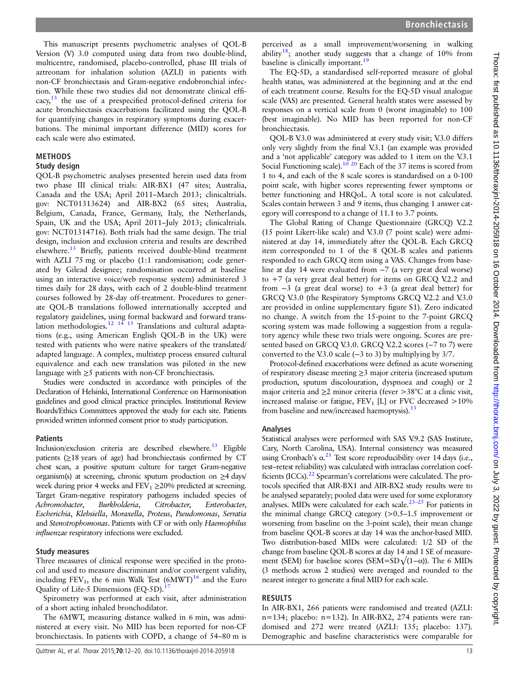This manuscript presents psychometric analyses of QOL-B Version (V) 3.0 computed using data from two double-blind, multicentre, randomised, placebo-controlled, phase III trials of aztreonam for inhalation solution (AZLI) in patients with non-CF bronchiectasis and Gram-negative endobronchial infection. While these two studies did not demonstrate clinical efficacy, $13$  the use of a prespecified protocol-defined criteria for acute bronchiectasis exacerbations facilitated using the QOL-B for quantifying changes in respiratory symptoms during exacerbations. The minimal important difference (MID) scores for each scale were also estimated.

### **METHODS**

### Study design

QOL-B psychometric analyses presented herein used data from two phase III clinical trials: AIR-BX1 (47 sites; Australia, Canada and the USA; April 2011–March 2013; clinicaltrials. gov: NCT01313624) and AIR-BX2 (65 sites; Australia, Belgium, Canada, France, Germany, Italy, the Netherlands, Spain, UK and the USA; April 2011–July 2013; clinicaltrials. gov: NCT01314716). Both trials had the same design. The trial design, inclusion and exclusion criteria and results are described elsewhere.<sup>13</sup> Briefly, patients received double-blind treatment with AZLI 75 mg or placebo (1:1 randomisation; code generated by Gilead designee; randomisation occurred at baseline using an interactive voice/web response system) administered 3 times daily for 28 days, with each of 2 double-blind treatment courses followed by 28-day off-treatment. Procedures to generate QOL-B translations followed internationally accepted and regulatory guidelines, using formal backward and forward trans-lation methodologies.<sup>[12 14 15](#page-7-0)</sup> Translations and cultural adaptations (e.g., using American English QOL-B in the UK) were tested with patients who were native speakers of the translated/ adapted language. A complex, multistep process ensured cultural equivalence and each new translation was piloted in the new language with  $\geq$ 5 patients with non-CF bronchiectasis.

Studies were conducted in accordance with principles of the Declaration of Helsinki, International Conference on Harmonisation guidelines and good clinical practice principles. Institutional Review Boards/Ethics Committees approved the study for each site. Patients provided written informed consent prior to study participation.

### **Patients**

Inclusion/exclusion criteria are described elsewhere.<sup>13</sup> Eligible patients (≥18 years of age) had bronchiectasis confirmed by CT chest scan, a positive sputum culture for target Gram-negative organism(s) at screening, chronic sputum production on ≥4 days/ week during prior 4 weeks and  $FEV_1 \ge 20\%$  predicted at screening. Target Gram-negative respiratory pathogens included species of Achromobacter, Burkholderia, Citrobacter, Enterobacter, Escherichia, Klebsiella, Moraxella, Proteus, Pseudomonas, Serratia and Stenotrophomonas. Patients with CF or with only Haemophilus influenzae respiratory infections were excluded.

### Study measures

Three measures of clinical response were specified in the protocol and used to measure discriminant and/or convergent validity, including  $FEV_1$ , the 6 min Walk Test  $(6MWT)^{16}$  $(6MWT)^{16}$  $(6MWT)^{16}$  and the Euro Quality of Life-5 Dimensions (EQ-5D).<sup>[17](#page-8-0)</sup>

Spirometry was performed at each visit, after administration of a short acting inhaled bronchodilator.

The 6MWT, measuring distance walked in 6 min, was administered at every visit. No MID has been reported for non-CF bronchiectasis. In patients with COPD, a change of 54–80 m is

The EQ-5D, a standardised self-reported measure of global health status, was administered at the beginning and at the end of each treatment course. Results for the EQ-5D visual analogue scale (VAS) are presented. General health states were assessed by responses on a vertical scale from 0 (worst imaginable) to 100 (best imaginable). No MID has been reported for non-CF bronchiectasis.

QOL-B V.3.0 was administered at every study visit; V.3.0 differs only very slightly from the final V.3.1 (an example was provided and a 'not applicable' category was added to 1 item on the V.3.1 Social Functioning scale).<sup>[10](#page-7-0) [20](#page-8-0)</sup> Each of the 37 items is scored from 1 to 4, and each of the 8 scale scores is standardised on a 0-100 point scale, with higher scores representing fewer symptoms or better functioning and HRQoL. A total score is not calculated. Scales contain between 3 and 9 items, thus changing 1 answer category will correspond to a change of 11.1 to 3.7 points.

The Global Rating of Change Questionnaire (GRCQ) V.2.2 (15 point Likert-like scale) and V.3.0 (7 point scale) were administered at day 14, immediately after the QOL-B. Each GRCQ item corresponded to 1 of the 8 QOL-B scales and patients responded to each GRCQ item using a VAS. Changes from baseline at day 14 were evaluated from −7 (a very great deal worse) to  $+7$  (a very great deal better) for items on GRCQ V.2.2 and from  $-3$  (a great deal worse) to  $+3$  (a great deal better) for GRCQ V.3.0 (the Respiratory Symptoms GRCQ V.2.2 and V.3.0) are provided in online supplementary figure S1). Zero indicated no change. A switch from the 15-point to the 7-point GRCQ scoring system was made following a suggestion from a regulatory agency while these two trials were ongoing. Scores are presented based on GRCQ V.3.0. GRCQ V.2.2 scores (-7 to 7) were converted to the V.3.0 scale ( $-3$  to 3) by multiplying by 3/7.

Protocol-defined exacerbations were defined as acute worsening of respiratory disease meeting ≥3 major criteria (increased sputum production, sputum discolouration, dyspnoea and cough) or 2 major criteria and ≥2 minor criteria (fever >38°C at a clinic visit, increased malaise or fatigue,  $FEV<sub>1</sub>$  [L] or FVC decreased  $>10\%$ from baseline and new/increased haemoptysis).<sup>13</sup>

### Analyses

Statistical analyses were performed with SAS V.9.2 (SAS Institute, Cary, North Carolina, USA). Internal consistency was measured using Cronbach's  $\alpha$ <sup>[21](#page-8-0)</sup> Test score reproducibility over 14 days (i.e., test–retest reliability) was calculated with intraclass correlation coefficients  $(ICCs)$ .<sup>22</sup> Spearman's correlations were calculated. The protocols specified that AIR-BX1 and AIR-BX2 study results were to be analysed separately; pooled data were used for some exploratory analyses. MIDs were calculated for each scale.<sup>23–25</sup> For patients in the minimal change GRCQ category (>0.5–1.5 improvement or worsening from baseline on the 3-point scale), their mean change from baseline QOL-B scores at day 14 was the anchor-based MID. Two distribution-based MIDs were calculated: 1/2 SD of the change from baseline QOL-B scores at day 14 and 1 SE of measurement (SEM) for baseline scores (SEM=SD $\sqrt{(1-\alpha)}$ ). The 6 MIDs (3 methods across 2 studies) were averaged and rounded to the nearest integer to generate a final MID for each scale.

### RESULTS

In AIR-BX1, 266 patients were randomised and treated (AZLI: n=134; placebo: n=132). In AIR-BX2, 274 patients were randomised and 272 were treated (AZLI: 135; placebo: 137). Demographic and baseline characteristics were comparable for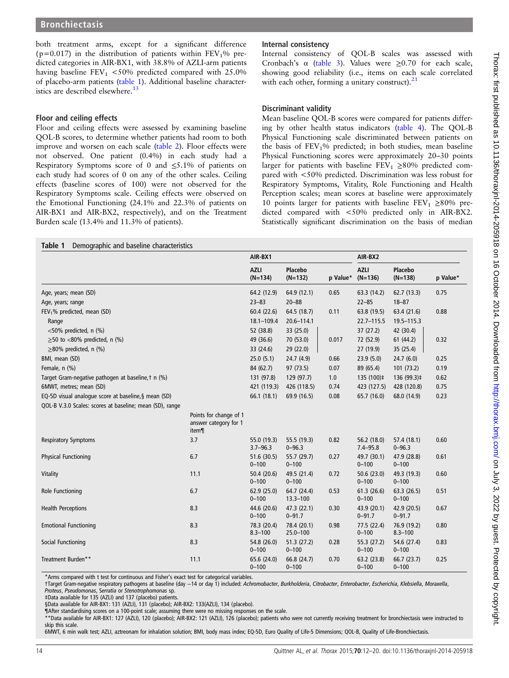both treatment arms, except for a significant difference ( $p=0.017$ ) in the distribution of patients within  $FEV<sub>1</sub>%$  predicted categories in AIR-BX1, with 38.8% of AZLI-arm patients having baseline  $FEV_1$  <50% predicted compared with 25.0% of placebo-arm patients (table 1). Additional baseline character-istics are described elsewhere.<sup>[13](#page-7-0)</sup>

### Floor and ceiling effects

Floor and ceiling effects were assessed by examining baseline QOL-B scores, to determine whether patients had room to both improve and worsen on each scale [\(table 2\)](#page-3-0). Floor effects were not observed. One patient (0.4%) in each study had a Respiratory Symptoms score of 0 and  $\leq 5.1\%$  of patients on each study had scores of 0 on any of the other scales. Ceiling effects (baseline scores of 100) were not observed for the Respiratory Symptoms scale. Ceiling effects were observed on the Emotional Functioning (24.1% and 22.3% of patients on AIR-BX1 and AIR-BX2, respectively), and on the Treatment Burden scale (13.4% and 11.3% of patients).

### Internal consistency

Internal consistency of QOL-B scales was assessed with Cronbach's  $\alpha$  [\(table 3\)](#page-3-0). Values were  $\geq 0.70$  for each scale, showing good reliability (i.e., items on each scale correlated with each other, forming a unitary construct). $21$ 

### Discriminant validity

Mean baseline QOL-B scores were compared for patients differing by other health status indicators [\(table 4\)](#page-4-0). The QOL-B Physical Functioning scale discriminated between patients on the basis of  $FEV<sub>1</sub>%$  predicted; in both studies, mean baseline Physical Functioning scores were approximately 20–30 points larger for patients with baseline  $FEV_1 \geq 80\%$  predicted compared with <50% predicted. Discrimination was less robust for Respiratory Symptoms, Vitality, Role Functioning and Health Perception scales; mean scores at baseline were approximately 10 points larger for patients with baseline  $FEV_1 \geq 80\%$  predicted compared with <50% predicted only in AIR-BX2. Statistically significant discrimination on the basis of median

|                                                          |                                                          | AIR-BX1                     |                             |          | AIR-BX2                     |                            |          |
|----------------------------------------------------------|----------------------------------------------------------|-----------------------------|-----------------------------|----------|-----------------------------|----------------------------|----------|
|                                                          |                                                          | <b>AZLI</b><br>$(N=134)$    | Placebo<br>$(N=132)$        | p Value* | <b>AZLI</b><br>$(N=136)$    | Placebo<br>$(N=138)$       | p Value* |
| Age, years; mean (SD)                                    |                                                          | 64.2 (12.9)                 | 64.9(12.1)                  | 0.65     | 63.3 (14.2)                 | 62.7(13.3)                 | 0.75     |
| Age, years; range                                        |                                                          | $23 - 83$                   | $20 - 88$                   |          | $22 - 85$                   | $18 - 87$                  |          |
| FEV <sub>1</sub> % predicted, mean (SD)                  |                                                          | 60.4 (22.6)                 | 64.5 (18.7)                 | 0.11     | 63.8 (19.5)                 | 63.4 (21.6)                | 0.88     |
| Range                                                    |                                                          | $18.1 - 109.4$              | 20.6-114.1                  |          | 22.7-115.5                  | 19.5-115.3                 |          |
| $<$ 50% predicted, n (%)                                 |                                                          | 52 (38.8)                   | 33 (25.0)                   |          | 37(27.2)                    | 42 (30.4)                  |          |
| $\geq$ 50 to <80% predicted, n (%)                       |                                                          | 49 (36.6)                   | 70 (53.0)                   | 0.017    | 72 (52.9)                   | 61(44.2)                   | 0.32     |
| $\geq$ 80% predicted, n (%)                              |                                                          | 33 (24.6)                   | 29 (22.0)                   |          | 27(19.9)                    | 35 (25.4)                  |          |
| BMI, mean (SD)                                           |                                                          | 25.0(5.1)                   | 24.7(4.9)                   | 0.66     | 23.9(5.0)                   | 24.7(6.0)                  | 0.25     |
| Female, n (%)                                            |                                                          | 84 (62.7)                   | 97 (73.5)                   | 0.07     | 89 (65.4)                   | 101(73.2)                  | 0.19     |
| Target Gram-negative pathogen at baseline, † n (%)       |                                                          | 131 (97.8)                  | 129 (97.7)                  | 1.0      | 135 (100)‡                  | 136 (99.3)‡                | 0.62     |
| 6MWT, metres; mean (SD)                                  |                                                          | 421 (119.3)                 | 426 (118.5)                 | 0.74     | 423 (127.5)                 | 428 (120.8)                | 0.75     |
| EQ-5D visual analoque score at baseline, § mean (SD)     |                                                          | 66.1 (18.1)                 | 69.9 (16.5)                 | 0.08     | 65.7 (16.0)                 | 68.0 (14.9)                | 0.23     |
| QOL-B V.3.0 Scales: scores at baseline; mean (SD), range |                                                          |                             |                             |          |                             |                            |          |
|                                                          | Points for change of 1<br>answer category for 1<br>item¶ |                             |                             |          |                             |                            |          |
| <b>Respiratory Symptoms</b>                              | 3.7                                                      | 55.0 (19.3)<br>$3.7 - 96.3$ | 55.5 (19.3)<br>$0 - 96.3$   | 0.82     | 56.2 (18.0)<br>$7.4 - 95.8$ | 57.4 (18.1)<br>$0 - 96.3$  | 0.60     |
| <b>Physical Functioning</b>                              | 6.7                                                      | 51.6 (30.5)<br>$0 - 100$    | 55.7 (29.7)<br>$0 - 100$    | 0.27     | 49.7 (30.1)<br>$0 - 100$    | 47.9 (28.8)<br>$0 - 100$   | 0.61     |
| Vitality                                                 | 11.1                                                     | 50.4 (20.6)<br>$0 - 100$    | 49.5 (21.4)<br>$0 - 100$    | 0.72     | 50.6 (23.0)<br>$0 - 100$    | 49.3 (19.3)<br>$0 - 100$   | 0.60     |
| Role Functioning                                         | 6.7                                                      | 62.9(25.0)<br>$0 - 100$     | 64.7 (24.4)<br>$13.3 - 100$ | 0.53     | 61.3(26.6)<br>$0 - 100$     | 63.3(26.5)<br>$0 - 100$    | 0.51     |
| <b>Health Perceptions</b>                                | 8.3                                                      | 44.6 (20.6)<br>$0 - 100$    | 47.3(22.1)<br>$0 - 91.7$    | 0.30     | 43.9 (20.1)<br>$0 - 91.7$   | 42.9 (20.5)<br>$0 - 91.7$  | 0.67     |
| <b>Emotional Functioning</b>                             | 8.3                                                      | 78.3 (20.4)<br>$8.3 - 100$  | 78.4 (20.1)<br>$25.0 - 100$ | 0.98     | 77.5 (22.4)<br>$0 - 100$    | 76.9 (19.2)<br>$8.3 - 100$ | 0.80     |
| Social Functioning                                       | 8.3                                                      | 54.8 (26.0)<br>$0 - 100$    | 51.3(27.2)<br>$0 - 100$     | 0.28     | 55.3 (27.2)<br>$0 - 100$    | 54.6 (27.4)<br>$0 - 100$   | 0.83     |
| Treatment Burden**                                       | 11.1                                                     | 65.6 (24.0)<br>$0 - 100$    | 66.8 (24.7)<br>$0 - 100$    | 0.70     | 63.2 (23.8)<br>$0 - 100$    | 66.7 (23.7)<br>$0 - 100$   | 0.25     |

\*Arms compared with t test for continuous and Fisher's exact test for categorical variables.

†Target Gram-negative respiratory pathogens at baseline (day −14 or day 1) included: Achromobacter, Burkholderia, Citrobacter, Enterobacter, Escherichia, Klebsiella, Moraxella, Proteus, Pseudomonas, Serratia or Stenotrophomonas sp.

‡Data available for 135 (AZLI) and 137 (placebo) patients.

§Data available for AIR-BX1: 131 (AZLI), 131 (placebo); AIR-BX2: 133(AZLI), 134 (placebo).

¶After standardising scores on a 100-point scale; assuming there were no missing responses on the scale.

\*\*Data available for AIR-BX1: 127 (AZLI), 120 (placebo); AIR-BX2: 121 (AZLI), 126 (placebo); patients who were not currently receiving treatment for bronchiectasis were instructed to skip this scale.

6MWT, 6 min walk test; AZLI, aztreonam for inhalation solution; BMI, body mass index; EQ-5D, Euro Quality of Life-5 Dimensions; QOL-B, Quality of Life-Bronchiectasis.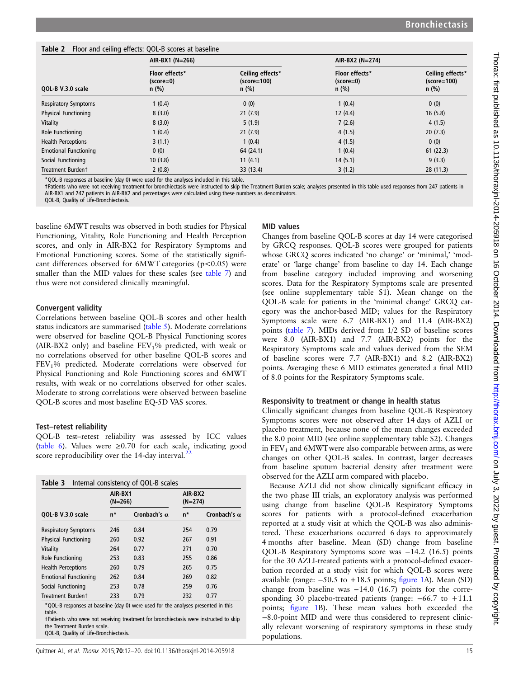### <span id="page-3-0"></span>Table 2 Floor and ceiling effects: QOL-B scores at baseline

|                              | AIR-BX1 (N=266)                          |                                              | AIR-BX2 (N=274)                               |                                              |  |  |
|------------------------------|------------------------------------------|----------------------------------------------|-----------------------------------------------|----------------------------------------------|--|--|
| QOL-B V.3.0 scale            | Floor effects*<br>$(score=0)$<br>$n$ (%) | Ceiling effects*<br>$(score=100)$<br>$n$ (%) | <b>Floor effects*</b><br>(score=0)<br>$n$ (%) | Ceiling effects*<br>$(score=100)$<br>$n$ (%) |  |  |
| <b>Respiratory Symptoms</b>  | 1(0.4)                                   | 0(0)                                         | 1(0.4)                                        | 0(0)                                         |  |  |
| <b>Physical Functioning</b>  | 8(3.0)                                   | 21(7.9)                                      | 12(4.4)                                       | 16(5.8)                                      |  |  |
| Vitality                     | 8(3.0)                                   | 5(1.9)                                       | 7(2.6)                                        | 4(1.5)                                       |  |  |
| Role Functioning             | 1(0.4)                                   | 21(7.9)                                      | 4(1.5)                                        | 20(7.3)                                      |  |  |
| <b>Health Perceptions</b>    | 3(1.1)                                   | 1(0.4)                                       | 4(1.5)                                        | 0(0)                                         |  |  |
| <b>Emotional Functioning</b> | 0(0)                                     | 64 (24.1)                                    | 1(0.4)                                        | 61(22.3)                                     |  |  |
| Social Functioning           | 10(3.8)                                  | 11(4.1)                                      | 14(5.1)                                       | 9(3.3)                                       |  |  |
| <b>Treatment Burdent</b>     | 2(0.8)                                   | 33 (13.4)                                    | 3(1.2)                                        | 28 (11.3)                                    |  |  |

\*QOL-B responses at baseline (day 0) were used for the analyses included in this table.

†Patients who were not receiving treatment for bronchiectasis were instructed to skip the Treatment Burden scale; analyses presented in this table used responses from 247 patients in AIR-BX1 and 247 patients in AIR-BX2 and percentages were calculated using these numbers as denominators.

QOL-B, Quality of Life-Bronchiectasis.

baseline 6MWT results was observed in both studies for Physical Functioning, Vitality, Role Functioning and Health Perception scores, and only in AIR-BX2 for Respiratory Symptoms and Emotional Functioning scores. Some of the statistically significant differences observed for  $6MWT$  categories ( $p < 0.05$ ) were smaller than the MID values for these scales (see [table 7\)](#page-6-0) and thus were not considered clinically meaningful.

### Convergent validity

Correlations between baseline QOL-B scores and other health status indicators are summarised [\(table 5](#page-5-0)). Moderate correlations were observed for baseline QOL-B Physical Functioning scores (AIR-BX2 only) and baseline  $FEV<sub>1</sub>%$  predicted, with weak or no correlations observed for other baseline QOL-B scores and FEV1% predicted. Moderate correlations were observed for Physical Functioning and Role Functioning scores and 6MWT results, with weak or no correlations observed for other scales. Moderate to strong correlations were observed between baseline QOL-B scores and most baseline EQ-5D VAS scores.

### Test–retest reliability

QOL-B test–retest reliability was assessed by ICC values ([table 6](#page-5-0)). Values were  $\geq 0.70$  for each scale, indicating good score reproducibility over the  $14$ -day interval.<sup>[22](#page-8-0)</sup>

| Table 3                                                                                     |                      | Internal consistency of QOL-B scales |                      |                     |
|---------------------------------------------------------------------------------------------|----------------------|--------------------------------------|----------------------|---------------------|
|                                                                                             | AIR-BX1<br>$(N=266)$ |                                      | AIR-BX2<br>$(N=274)$ |                     |
| QOL-B V.3.0 scale                                                                           | n*                   | Cronbach's $\alpha$                  | n*                   | Cronbach's $\alpha$ |
| <b>Respiratory Symptoms</b>                                                                 | 246                  | 0.84                                 | 254                  | 0.79                |
| <b>Physical Functioning</b>                                                                 | 260                  | 0.92                                 | 267                  | 0.91                |
| Vitality                                                                                    | 264                  | 0.77                                 | 271                  | 0.70                |
| Role Functioning                                                                            | 253                  | 0.83                                 | 255                  | 0.86                |
| <b>Health Perceptions</b>                                                                   | 260                  | 0.79                                 | 265                  | 0.75                |
| <b>Emotional Functioning</b>                                                                | 262                  | 0.84                                 | 269                  | 0.82                |
| Social Functioning                                                                          | 253                  | 0.78                                 | 259                  | 0.76                |
| <b>Treatment Burdent</b>                                                                    | 233                  | 0.79                                 | 232                  | 0.77                |
| *QOL-B responses at baseline (day 0) were used for the analyses presented in this<br>table. |                      |                                      |                      |                     |

table. †Patients who were not receiving treatment for bronchiectasis were instructed to skip the Treatment Burden scale.

QOL-B, Quality of Life-Bronchiectasis.

### MID values

Changes from baseline QOL-B scores at day 14 were categorised by GRCQ responses. QOL-B scores were grouped for patients whose GRCQ scores indicated 'no change' or 'minimal,' 'moderate' or 'large change' from baseline to day 14. Each change from baseline category included improving and worsening scores. Data for the Respiratory Symptoms scale are presented (see online supplementary table S1). Mean change on the QOL-B scale for patients in the 'minimal change' GRCQ category was the anchor-based MID; values for the Respiratory Symptoms scale were 6.7 (AIR-BX1) and 11.4 (AIR-BX2) points ([table 7\)](#page-6-0). MIDs derived from 1/2 SD of baseline scores were 8.0 (AIR-BX1) and 7.7 (AIR-BX2) points for the Respiratory Symptoms scale and values derived from the SEM of baseline scores were 7.7 (AIR-BX1) and 8.2 (AIR-BX2) points. Averaging these 6 MID estimates generated a final MID of 8.0 points for the Respiratory Symptoms scale.

### Responsivity to treatment or change in health status

Clinically significant changes from baseline QOL-B Respiratory Symptoms scores were not observed after 14 days of AZLI or placebo treatment, because none of the mean changes exceeded the 8.0 point MID (see online supplementary table S2). Changes in  $FEV<sub>1</sub>$  and  $6MWT$  were also comparable between arms, as were changes on other QOL-B scales. In contrast, larger decreases from baseline sputum bacterial density after treatment were observed for the AZLI arm compared with placebo.

Because AZLI did not show clinically significant efficacy in the two phase III trials, an exploratory analysis was performed using change from baseline QOL-B Respiratory Symptoms scores for patients with a protocol-defined exacerbation reported at a study visit at which the QOL-B was also administered. These exacerbations occurred 6 days to approximately 4 months after baseline. Mean (SD) change from baseline QOL-B Respiratory Symptoms score was −14.2 (16.5) points for the 30 AZLI-treated patients with a protocol-defined exacerbation recorded at a study visit for which QOL-B scores were available (range: −50.5 to +18.5 points; fi[gure 1A](#page-7-0)). Mean (SD) change from baseline was −14.0 (16.7) points for the corresponding 30 placebo-treated patients (range: −66.7 to +11.1 points; fi[gure 1B](#page-7-0)). These mean values both exceeded the −8.0-point MID and were thus considered to represent clinically relevant worsening of respiratory symptoms in these study populations.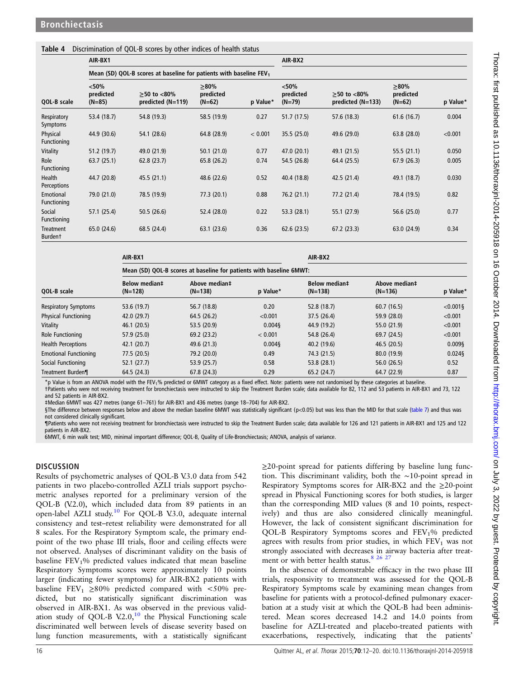### <span id="page-4-0"></span>Table 4 Discrimination of QOL-B scores by other indices of health status

|                             | AIR-BX1                        |                                                                                |                                  |          | AIR-BX2                          |                                          |                                  |          |  |  |  |
|-----------------------------|--------------------------------|--------------------------------------------------------------------------------|----------------------------------|----------|----------------------------------|------------------------------------------|----------------------------------|----------|--|--|--|
|                             |                                | Mean (SD) QOL-B scores at baseline for patients with baseline FEV <sub>1</sub> |                                  |          |                                  |                                          |                                  |          |  |  |  |
| QOL-B scale                 | < 50%<br>predicted<br>$(N=85)$ | $>50$ to $<80\%$<br>predicted (N=119)                                          | $>80\%$<br>predicted<br>$(N=62)$ | p Value* | $<$ 50%<br>predicted<br>$(N=79)$ | $>50$ to $< 80\%$<br>predicted $(N=133)$ | $>80\%$<br>predicted<br>$(N=62)$ | p Value* |  |  |  |
| Respiratory<br>Symptoms     | 53.4 (18.7)                    | 54.8 (19.3)                                                                    | 58.5 (19.9)                      | 0.27     | 51.7(17.5)                       | 57.6 (18.3)                              | 61.6(16.7)                       | 0.004    |  |  |  |
| Physical<br>Functioning     | 44.9 (30.6)                    | 54.1 (28.6)                                                                    | 64.8 (28.9)                      | < 0.001  | 35.5 (25.0)                      | 49.6 (29.0)                              | 63.8(28.0)                       | < 0.001  |  |  |  |
| Vitality                    | 51.2 (19.7)                    | 49.0 (21.9)                                                                    | 50.1(21.0)                       | 0.77     | 47.0 (20.1)                      | 49.1 (21.5)                              | 55.5(21.1)                       | 0.050    |  |  |  |
| Role<br>Functioning         | 63.7(25.1)                     | 62.8(23.7)                                                                     | 65.8 (26.2)                      | 0.74     | 54.5 (26.8)                      | 64.4 (25.5)                              | 67.9(26.3)                       | 0.005    |  |  |  |
| Health<br>Perceptions       | 44.7 (20.8)                    | 45.5 (21.1)                                                                    | 48.6 (22.6)                      | 0.52     | 40.4 (18.8)                      | 42.5 (21.4)                              | 49.1 (18.7)                      | 0.030    |  |  |  |
| Emotional<br>Functioning    | 79.0 (21.0)                    | 78.5 (19.9)                                                                    | 77.3(20.1)                       | 0.88     | 76.2(21.1)                       | 77.2 (21.4)                              | 78.4 (19.5)                      | 0.82     |  |  |  |
| Social<br>Functioning       | 57.1 (25.4)                    | 50.5(26.6)                                                                     | 52.4 (28.0)                      | 0.22     | 53.3 (28.1)                      | 55.1 (27.9)                              | 56.6(25.0)                       | 0.77     |  |  |  |
| Treatment<br><b>Burdent</b> | 65.0 (24.6)                    | 68.5 (24.4)                                                                    | 63.1(23.6)                       | 0.36     | 62.6(23.5)                       | 67.2(23.3)                               | 63.0 (24.9)                      | 0.34     |  |  |  |

|                              | AIR-BX1                           | AIR-BX2                                                             |          |                            |                            |             |  |  |  |  |
|------------------------------|-----------------------------------|---------------------------------------------------------------------|----------|----------------------------|----------------------------|-------------|--|--|--|--|
|                              |                                   | Mean (SD) QOL-B scores at baseline for patients with baseline 6MWT: |          |                            |                            |             |  |  |  |  |
| QOL-B scale                  | <b>Below median‡</b><br>$(N=128)$ | Above median‡<br>$(N=138)$                                          | p Value* | Below median‡<br>$(N=138)$ | Above median‡<br>$(N=136)$ | p Value*    |  |  |  |  |
| <b>Respiratory Symptoms</b>  | 53.6 (19.7)                       | 56.7 (18.8)                                                         | 0.20     | 52.8 (18.7)                | 60.7(16.5)                 | $< 0.001$ § |  |  |  |  |
| <b>Physical Functioning</b>  | 42.0(29.7)                        | 64.5 (26.2)                                                         | < 0.001  | 37.5(26.4)                 | 59.9 (28.0)                | < 0.001     |  |  |  |  |
| Vitality                     | 46.1 (20.5)                       | 53.5(20.9)                                                          | 0.004    | 44.9 (19.2)                | 55.0 (21.9)                | < 0.001     |  |  |  |  |
| Role Functioning             | 57.9(25.0)                        | 69.2(23.2)                                                          | < 0.001  | 54.8 (26.4)                | 69.7 (24.5)                | < 0.001     |  |  |  |  |
| <b>Health Perceptions</b>    | 42.1(20.7)                        | 49.6 (21.3)                                                         | 0.004    | 40.2 (19.6)                | 46.5(20.5)                 | 0.009       |  |  |  |  |
| <b>Emotional Functioning</b> | 77.5 (20.5)                       | 79.2 (20.0)                                                         | 0.49     | 74.3 (21.5)                | 80.0 (19.9)                | $0.024$ §   |  |  |  |  |
| Social Functioning           | 52.1(27.7)                        | 53.9(25.7)                                                          | 0.58     | 53.8 (28.1)                | 56.0(26.5)                 | 0.52        |  |  |  |  |
| Treatment Burden¶            | 64.5 (24.3)                       | 67.8 (24.3)                                                         | 0.29     | 65.2 (24.7)                | 64.7 (22.9)                | 0.87        |  |  |  |  |

\*p Value is from an ANOVA model with the FEV1% predicted or 6MWT category as a fixed effect. Note: patients were not randomised by these categories at baseline. †Patients who were not receiving treatment for bronchiectasis were instructed to skip the Treatment Burden scale; data available for 82, 112 and 53 patients in AIR-BX1 and 73, 122 and 52 patients in AIR-BX2.

‡Median 6MWT was 427 metres (range 61–761) for AIR-BX1 and 436 metres (range 18–704) for AIR-BX2.

§The difference between responses below and above the median baseline 6MWT was statistically significant (p<0.05) but was less than the MID for that scale ([table 7](#page-6-0)) and thus was not considered clinically significant.

¶Patients who were not receiving treatment for bronchiectasis were instructed to skip the Treatment Burden scale; data available for 126 and 121 patients in AIR-BX1 and 125 and 122 patients in AIR-BX2.

6MWT, 6 min walk test; MID, minimal important difference; QOL-B, Quality of Life-Bronchiectasis; ANOVA, analysis of variance.

### **DISCUSSION**

Results of psychometric analyses of QOL-B V.3.0 data from 542 patients in two placebo-controlled AZLI trials support psychometric analyses reported for a preliminary version of the QOL-B (V.2.0), which included data from 89 patients in an open-label AZLI study.<sup>[10](#page-7-0)</sup> For QOL-B V.3.0, adequate internal consistency and test–retest reliability were demonstrated for all 8 scales. For the Respiratory Symptom scale, the primary endpoint of the two phase III trials, floor and ceiling effects were not observed. Analyses of discriminant validity on the basis of baseline FEV1% predicted values indicated that mean baseline Respiratory Symptoms scores were approximately 10 points larger (indicating fewer symptoms) for AIR-BX2 patients with baseline FEV<sub>1</sub>  $\geq$ 80% predicted compared with <50% predicted, but no statistically significant discrimination was observed in AIR-BX1. As was observed in the previous validation study of QOL-B V.2.0, $^{10}$  $^{10}$  $^{10}$  the Physical Functioning scale discriminated well between levels of disease severity based on lung function measurements, with a statistically significant

≥20-point spread for patients differing by baseline lung function. This discriminant validity, both the ∼10-point spread in Respiratory Symptoms scores for AIR-BX2 and the  $\geq$ 20-point spread in Physical Functioning scores for both studies, is larger than the corresponding MID values (8 and 10 points, respectively) and thus are also considered clinically meaningful. However, the lack of consistent significant discrimination for QOL-B Respiratory Symptoms scores and FEV1% predicted agrees with results from prior studies, in which  $FEV<sub>1</sub>$  was not strongly associated with decreases in airway bacteria after treat-ment or with better health status.<sup>[8](#page-7-0)</sup> 26 <sup>27</sup>

In the absence of demonstrable efficacy in the two phase III trials, responsivity to treatment was assessed for the QOL-B Respiratory Symptoms scale by examining mean changes from baseline for patients with a protocol-defined pulmonary exacerbation at a study visit at which the QOL-B had been administered. Mean scores decreased 14.2 and 14.0 points from baseline for AZLI-treated and placebo-treated patients with exacerbations, respectively, indicating that the patients'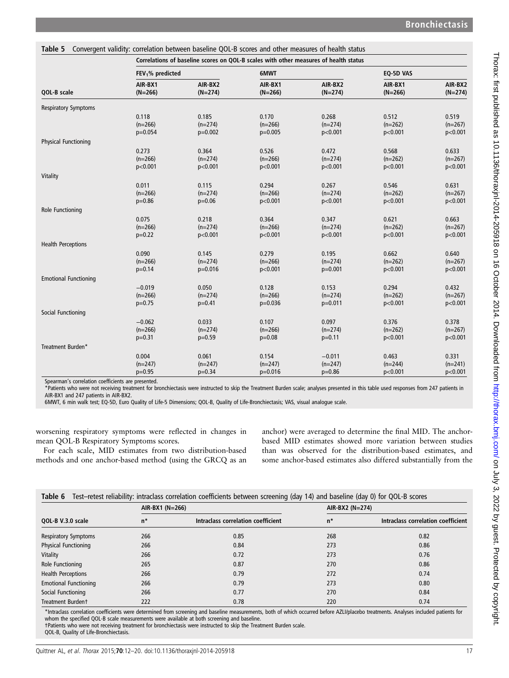|                              | Correlations of baseline scores on QOL-B scales with other measures of health status |                      |                      |                      |                      |                      |  |  |
|------------------------------|--------------------------------------------------------------------------------------|----------------------|----------------------|----------------------|----------------------|----------------------|--|--|
|                              | $FEV1%$ predicted                                                                    |                      | 6MWT                 |                      | EQ-5D VAS            |                      |  |  |
| QOL-B scale                  | AIR-BX1<br>$(N=266)$                                                                 | AIR-BX2<br>$(N=274)$ | AIR-BX1<br>$(N=266)$ | AIR-BX2<br>$(N=274)$ | AIR-BX1<br>$(N=266)$ | AIR-BX2<br>$(N=274)$ |  |  |
| <b>Respiratory Symptoms</b>  |                                                                                      |                      |                      |                      |                      |                      |  |  |
|                              | 0.118                                                                                | 0.185                | 0.170                | 0.268                | 0.512                | 0.519                |  |  |
|                              | $(n=266)$                                                                            | $(n=274)$            | $(n=266)$            | $(n=274)$            | $(n=262)$            | $(n=267)$            |  |  |
|                              | $p=0.054$                                                                            | $p=0.002$            | $p=0.005$            | p<0.001              | p<0.001              | p<0.001              |  |  |
| <b>Physical Functioning</b>  |                                                                                      |                      |                      |                      |                      |                      |  |  |
|                              | 0.273                                                                                | 0.364                | 0.526                | 0.472                | 0.568                | 0.633                |  |  |
|                              | $(n=266)$                                                                            | $(n=274)$            | $(n=266)$            | $(n=274)$            | $(n=262)$            | $(n=267)$            |  |  |
|                              | p<0.001                                                                              | p<0.001              | p<0.001              | p<0.001              | p<0.001              | p<0.001              |  |  |
| Vitality                     |                                                                                      |                      |                      |                      |                      |                      |  |  |
|                              | 0.011                                                                                | 0.115                | 0.294                | 0.267                | 0.546                | 0.631                |  |  |
|                              | $(n=266)$                                                                            | $(n=274)$            | $(n=266)$            | $(n=274)$            | $(n=262)$            | $(n=267)$            |  |  |
|                              | $p=0.86$                                                                             | $p=0.06$             | p<0.001              | p<0.001              | p<0.001              | p<0.001              |  |  |
| Role Functioning             |                                                                                      |                      |                      |                      |                      |                      |  |  |
|                              | 0.075                                                                                | 0.218                | 0.364                | 0.347                | 0.621                | 0.663                |  |  |
|                              | $(n=266)$                                                                            | $(n=274)$            | $(n=266)$            | $(n=274)$            | $(n=262)$            | $(n=267)$            |  |  |
|                              | $p=0.22$                                                                             | p<0.001              | p<0.001              | p<0.001              | p<0.001              | p<0.001              |  |  |
| <b>Health Perceptions</b>    |                                                                                      |                      |                      |                      |                      |                      |  |  |
|                              | 0.090                                                                                | 0.145                | 0.279                | 0.195                | 0.662                | 0.640                |  |  |
|                              | $(n=266)$                                                                            | $(n=274)$            | $(n=266)$            | $(n=274)$            | $(n=262)$            | $(n=267)$            |  |  |
|                              | $p=0.14$                                                                             | $p=0.016$            | p<0.001              | $p=0.001$            | p<0.001              | p<0.001              |  |  |
| <b>Emotional Functioning</b> |                                                                                      |                      |                      |                      |                      |                      |  |  |
|                              | $-0.019$                                                                             | 0.050                | 0.128                | 0.153                | 0.294                | 0.432                |  |  |
|                              | $(n=266)$                                                                            | $(n=274)$            | $(n=266)$            | $(n=274)$            | $(n=262)$            | $(n=267)$            |  |  |
|                              | $p=0.75$                                                                             | $p=0.41$             | $p=0.036$            | $p=0.011$            | p<0.001              | p<0.001              |  |  |
| Social Functioning           |                                                                                      |                      |                      |                      |                      |                      |  |  |
|                              | $-0.062$                                                                             | 0.033                | 0.107                | 0.097                | 0.376                | 0.378                |  |  |
|                              | $(n=266)$                                                                            | $(n=274)$            | $(n=266)$            | $(n=274)$            | $(n=262)$            | $(n=267)$            |  |  |
|                              | $p=0.31$                                                                             | $p=0.59$             | $p=0.08$             | $p=0.11$             | p<0.001              | p<0.001              |  |  |
| Treatment Burden*            |                                                                                      |                      |                      |                      |                      |                      |  |  |
|                              | 0.004                                                                                | 0.061                | 0.154                | $-0.011$             | 0.463                | 0.331                |  |  |
|                              | $(n=247)$                                                                            | $(n=247)$            | $(n=247)$            | $(n=247)$            | $(n=244)$            | $(n=241)$            |  |  |
|                              | $p=0.95$                                                                             | $p=0.34$             | $p=0.016$            | $p=0.86$             | p<0.001              | p<0.001              |  |  |

<span id="page-5-0"></span>Table 5 Convergent validity: correlation between baseline QOL-B scores and other measures of health status

Spearman's correlation coefficients are presented.

\*Patients who were not receiving treatment for bronchiectasis were instructed to skip the Treatment Burden scale; analyses presented in this table used responses from 247 patients in AIR-BX1 and 247 patients in AIR-BX2.

6MWT, 6 min walk test; EQ-5D, Euro Quality of Life-5 Dimensions; QOL-B, Quality of Life-Bronchiectasis; VAS, visual analogue scale.

worsening respiratory symptoms were reflected in changes in mean QOL-B Respiratory Symptoms scores.

For each scale, MID estimates from two distribution-based methods and one anchor-based method (using the GRCQ as an anchor) were averaged to determine the final MID. The anchorbased MID estimates showed more variation between studies than was observed for the distribution-based estimates, and some anchor-based estimates also differed substantially from the

|  | Table 6 Test-retest reliability: intraclass correlation coefficients between screening (day 14) and baseline (day 0) for QOL-B scores |  |  |  |
|--|---------------------------------------------------------------------------------------------------------------------------------------|--|--|--|
|--|---------------------------------------------------------------------------------------------------------------------------------------|--|--|--|

|                              | AIR-BX1 (N=266) |                                    | AIR-BX2 (N=274) |                                    |  |  |
|------------------------------|-----------------|------------------------------------|-----------------|------------------------------------|--|--|
| QOL-B V.3.0 scale            | $n^*$           | Intraclass correlation coefficient | $n^*$           | Intraclass correlation coefficient |  |  |
| <b>Respiratory Symptoms</b>  | 266             | 0.85                               | 268             | 0.82                               |  |  |
| <b>Physical Functioning</b>  | 266             | 0.84                               | 273             | 0.86                               |  |  |
| Vitality                     | 266             | 0.72                               | 273             | 0.76                               |  |  |
| Role Functioning             | 265             | 0.87                               | 270             | 0.86                               |  |  |
| <b>Health Perceptions</b>    | 266             | 0.79                               | 272             | 0.74                               |  |  |
| <b>Emotional Functioning</b> | 266             | 0.79                               | 273             | 0.80                               |  |  |
| Social Functioning           | 266             | 0.77                               | 270             | 0.84                               |  |  |
| Treatment Burdent            | 222             | 0.78                               | 220             | 0.74                               |  |  |

\*Intraclass correlation coefficients were determined from screening and baseline measurements, both of which occurred before AZLI/placebo treatments. Analyses included patients for whom the specified QOL-B scale measurements were available at both screening and baseline.

†Patients who were not receiving treatment for bronchiectasis were instructed to skip the Treatment Burden scale.

QOL-B, Quality of Life-Bronchiectasis.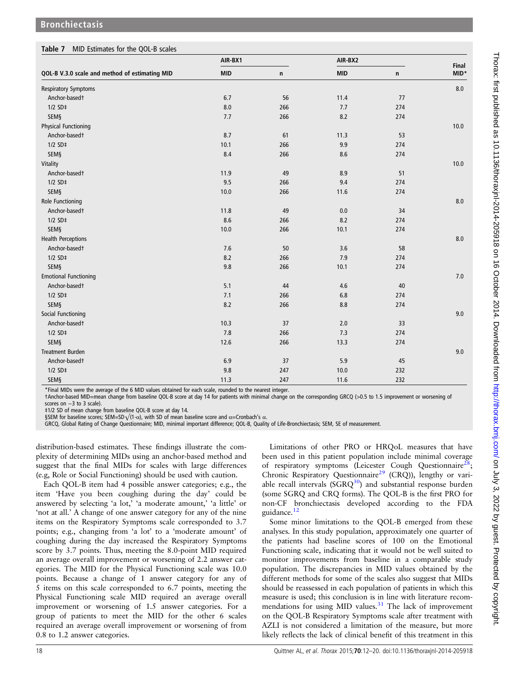<span id="page-6-0"></span>

|  | <b>Table 7</b> MID Estimates for the QOL-B scales |
|--|---------------------------------------------------|
|--|---------------------------------------------------|

|                                                | AIR-BX1    |     | AIR-BX2    | Final |         |
|------------------------------------------------|------------|-----|------------|-------|---------|
| QOL-B V.3.0 scale and method of estimating MID | <b>MID</b> | n   | <b>MID</b> | n     | MID*    |
| <b>Respiratory Symptoms</b>                    |            |     |            |       | 8.0     |
| Anchor-basedt                                  | 6.7        | 56  | 11.4       | 77    |         |
| $1/2$ SD $\ddagger$                            | 8.0        | 266 | 7.7        | 274   |         |
| SEMS                                           | 7.7        | 266 | 8.2        | 274   |         |
| <b>Physical Functioning</b>                    |            |     |            |       | 10.0    |
| Anchor-basedt                                  | 8.7        | 61  | 11.3       | 53    |         |
| $1/2$ SD‡                                      | 10.1       | 266 | 9.9        | 274   |         |
| <b>SEM§</b>                                    | 8.4        | 266 | 8.6        | 274   |         |
| Vitality                                       |            |     |            |       | 10.0    |
| Anchor-basedt                                  | 11.9       | 49  | 8.9        | 51    |         |
| $1/2$ SD‡                                      | 9.5        | 266 | 9.4        | 274   |         |
| <b>SEM§</b>                                    | 10.0       | 266 | 11.6       | 274   |         |
| Role Functioning                               |            |     |            |       | $8.0\,$ |
| Anchor-basedt                                  | 11.8       | 49  | 0.0        | 34    |         |
| $1/2$ SD‡                                      | 8.6        | 266 | 8.2        | 274   |         |
| SEM§                                           | 10.0       | 266 | 10.1       | 274   |         |
| <b>Health Perceptions</b>                      |            |     |            |       | 8.0     |
| Anchor-basedt                                  | 7.6        | 50  | 3.6        | 58    |         |
| $1/2$ SD‡                                      | 8.2        | 266 | 7.9        | 274   |         |
| SEMS                                           | 9.8        | 266 | 10.1       | 274   |         |
| <b>Emotional Functioning</b>                   |            |     |            |       | $7.0\,$ |
| Anchor-basedt                                  | 5.1        | 44  | 4.6        | 40    |         |
| $1/2$ SD‡                                      | 7.1        | 266 | $6.8\,$    | 274   |         |
| <b>SEM§</b>                                    | 8.2        | 266 | 8.8        | 274   |         |
| Social Functioning                             |            |     |            |       | 9.0     |
| Anchor-basedt                                  | 10.3       | 37  | 2.0        | 33    |         |
| $1/2$ SD‡                                      | 7.8        | 266 | 7.3        | 274   |         |
| SEM§                                           | 12.6       | 266 | 13.3       | 274   |         |
| <b>Treatment Burden</b>                        |            |     |            |       | $9.0\,$ |
| Anchor-basedt                                  | 6.9        | 37  | 5.9        | 45    |         |
| $1/2$ SD‡                                      | 9.8        | 247 | 10.0       | 232   |         |
| SEM§                                           | 11.3       | 247 | 11.6       | 232   |         |

\*Final MIDs were the average of the 6 MID values obtained for each scale, rounded to the nearest integer.

†Anchor-based MID=mean change from baseline QOL-B score at day 14 for patients with minimal change on the corresponding GRCQ (>0.5 to 1.5 improvement or worsening of scores on -3 to 3 scale).

‡1/2 SD of mean change from baseline QOL-B score at day 14.

§SEM for baseline scores; SEM=SD $\sqrt{(1-\alpha)}$ , with SD of mean baseline score and α=Cronbach's α.

GRCQ, Global Rating of Change Questionnaire; MID, minimal important difference; QOL-B, Quality of Life-Bronchiectasis; SEM, SE of measurement.

distribution-based estimates. These findings illustrate the complexity of determining MIDs using an anchor-based method and suggest that the final MIDs for scales with large differences (e.g, Role or Social Functioning) should be used with caution.

Each QOL-B item had 4 possible answer categories; e.g., the item 'Have you been coughing during the day' could be answered by selecting 'a lot,' 'a moderate amount,' 'a little' or 'not at all.' A change of one answer category for any of the nine items on the Respiratory Symptoms scale corresponded to 3.7 points; e.g., changing from 'a lot' to a 'moderate amount' of coughing during the day increased the Respiratory Symptoms score by 3.7 points. Thus, meeting the 8.0-point MID required an average overall improvement or worsening of 2.2 answer categories. The MID for the Physical Functioning scale was 10.0 points. Because a change of 1 answer category for any of 5 items on this scale corresponded to 6.7 points, meeting the Physical Functioning scale MID required an average overall improvement or worsening of 1.5 answer categories. For a group of patients to meet the MID for the other 6 scales required an average overall improvement or worsening of from 0.8 to 1.2 answer categories.

Limitations of other PRO or HRQoL measures that have been used in this patient population include minimal coverage of respiratory symptoms (Leicester Cough Questionnaire<sup>21</sup>) Chronic Respiratory Questionnaire<sup>[29](#page-8-0)</sup> (CRQ)), lengthy or variable recall intervals  $(SGRQ^{30})$  $(SGRQ^{30})$  $(SGRQ^{30})$  and substantial response burden (some SGRQ and CRQ forms). The QOL-B is the first PRO for non-CF bronchiectasis developed according to the FDA guidance.<sup>[12](#page-7-0)</sup>

Some minor limitations to the QOL-B emerged from these analyses. In this study population, approximately one quarter of the patients had baseline scores of 100 on the Emotional Functioning scale, indicating that it would not be well suited to monitor improvements from baseline in a comparable study population. The discrepancies in MID values obtained by the different methods for some of the scales also suggest that MIDs should be reassessed in each population of patients in which this measure is used; this conclusion is in line with literature recommendations for using MID values. $31$  The lack of improvement on the QOL-B Respiratory Symptoms scale after treatment with AZLI is not considered a limitation of the measure, but more likely reflects the lack of clinical benefit of this treatment in this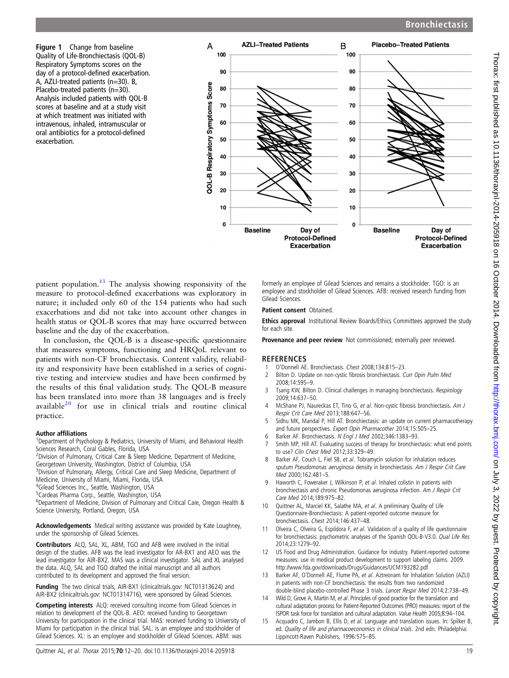<span id="page-7-0"></span>Figure 1 Change from baseline Quality of Life-Bronchiectasis (QOL-B) Respiratory Symptoms scores on the day of a protocol-defined exacerbation. A, AZLI-treated patients (n=30). B, Placebo-treated patients (n=30). Analysis included patients with QOL-B scores at baseline and at a study visit at which treatment was initiated with intravenous, inhaled, intramuscular or oral antibiotics for a protocol-defined exacerbation.



patient population.13 The analysis showing responsivity of the measure to protocol-defined exacerbations was exploratory in nature; it included only 60 of the 154 patients who had such exacerbations and did not take into account other changes in health status or QOL-B scores that may have occurred between baseline and the day of the exacerbation.

In conclusion, the QOL-B is a disease-specific questionnaire that measures symptoms, functioning and HRQoL relevant to patients with non-CF bronchiectasis. Content validity, reliability and responsivity have been established in a series of cognitive testing and interview studies and have been confirmed by the results of this final validation study. The QOL-B measure has been translated into more than 38 languages and is freely available[20](#page-8-0) for use in clinical trials and routine clinical practice.

### Author affiliations <sup>1</sup>

<sup>1</sup>Department of Psychology & Pediatrics, University of Miami, and Behavioral Health Sciences Research, Coral Gables, Florida, USA

<sup>2</sup> Division of Pulmonary, Critical Care & Sleep Medicine, Department of Medicine, Georgetown University, Washington, District of Columbia, USA

<sup>3</sup> Division of Pulmonary, Allergy, Critical Care and Sleep Medicine, Department of Medicine, University of Miami, Miami, Florida, USA

4 Gilead Sciences Inc., Seattle, Washington, USA

5 Cardeas Pharma Corp., Seattle, Washington, USA

<sup>6</sup>Department of Medicine, Division of Pulmonary and Critical Care, Oregon Health & Science University, Portland, Oregon, USA

Acknowledgements Medical writing assistance was provided by Kate Loughney, under the sponsorship of Gilead Sciences.

Contributors ALQ, SAL, XL, ABM, TGO and AFB were involved in the initial design of the studies. AFB was the lead investigator for AR-BX1 and AEO was the lead investigator for AIR-BX2. MAS was a clinical investigator. SAL and XL analysed the data. ALQ, SAL and TGO drafted the initial manuscript and all authors contributed to its development and approved the final version.

Funding The two clinical trials, AIR-BX1 (clinicaltrials.gov: NCT01313624) and AIR-BX2 (clinicaltrials.gov: NCT01314716), were sponsored by Gilead Sciences.

Competing interests ALQ: received consulting income from Gilead Sciences in relation to development of the QOL-B. AEO: received funding to Georgetown University for participation in the clinical trial. MAS: received funding to University of Miami for participation in the clinical trial. SAL: is an employee and stockholder of Gilead Sciences. XL: is an employee and stockholder of Gilead Sciences. ABM: was

formerly an employee of Gilead Sciences and remains a stockholder. TGO: is an employee and stockholder of Gilead Sciences. AFB: received research funding from Gilead Sciences.

### Patient consent Obtained.

Ethics approval Institutional Review Boards/Ethics Committees approved the study for each site.

Provenance and peer review Not commissioned; externally peer reviewed.

### **REFERENCES**

- 1 O'Donnell AE. Bronchiectasis. *Chest* 2008;134:815–23.<br>2 Bilton D. Update on non-cystic fibrosis bronchiectasis. *C*
- Bilton D. Update on non-cystic fibrosis bronchiectasis. Curr Opin Pulm Med 2008;14:595–9.
- 3 Tsang KW, Bilton D. Clinical challenges in managing bronchiectasis. Respirology 2009;14:637–50.
- 4 McShane PJ, Naureckas ET, Tino G, et al. Non-cystic fibrosis bronchiectasis. Am J Respir Crit Care Med 2013;188:647–56.
- 5 Sidhu MK, Mandal P, Hill AT. Bronchiectasis: an update on current pharmacotherapy and future perspectives. Expert Opin Pharmacother 2014;15:505–25.
- 6 Barker AF. Bronchiectasis. N Engl J Med 2002;346:1383–93.
- 7 Smith MP, Hill AT. Evaluating success of therapy for bronchiectasis: what end points to use? Clin Chest Med 2012;33:329–49.
- 8 Barker AF, Couch L, Fiel SB, et al. Tobramycin solution for inhalation reduces sputum Pseudomonas aeruginosa density in bronchiectasis. Am J Respir Crit Care Med 2000;162:481–5.
- 9 Haworth C, Foweraker J, Wilkinson P, et al. Inhaled colistin in patients with bronchiectasis and chronic Pseudomonas aeruginosa infection. Am J Respir Crit Care Med 2014;189:975–82.
- 10 Quittner AL, Marciel KK, Salathe MA, et al. A preliminary Quality of Life Questionnaire-Bronchiectasis: A patient-reported outcome measure for bronchiectasis. Chest 2014;146:437–48.
- 11 Olveira C, Olveira G, Espildora F, et al. Validation of a quality of life questionnaire for bronchiectasis: psychometric analyses of the Spanish QOL-B-V3.0. Qual Life Res 2014;23:1279–92.
- 12 US Food and Drug Administration. Guidance for industry. Patient-reported outcome measures: use in medical product development to support labeling claims. 2009. <http://www.fda.gov/downloads/Drugs/Guidances/UCM193282.pdf>
- 13 Barker AF, O'Donnell AE, Flume PA, et al. Aztreonam for Inhalation Solution (AZLI) in patients with non-CF bronchiectasis: the results from two randomized double-blind placebo-controlled Phase 3 trials. Lancet Respir Med 2014;2:738–49.
- 14 Wild D, Grove A, Martin M, et al. Principles of good practice for the translation and cultural adaptation process for Patient-Reported Outcomes (PRO) measures: report of the ISPOR task force for translation and cultural adaptation. Value Health 2005;8:94–104.
- Acquadro C, Jambon B, Ellis D, et al. Language and translation issues. In: Spilker B ed. Quality of life and pharmacoeconomics in clinical trials. 2nd edn. Philadelphia: Lippincott-Raven Publishers, 1996:575–85.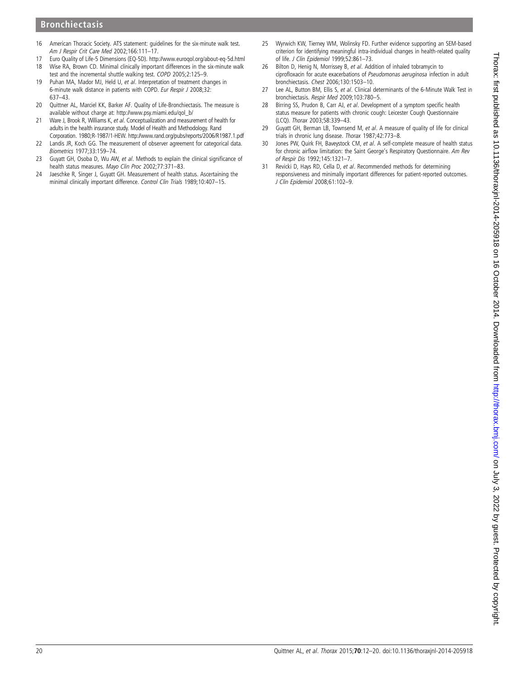# Thorax: first published as 10.1136/thoraxjnl-2014-205918 on 16 October 2014. Downloaded from http://thorax.bmj.com/ on July 3, 2022 by guest. Protected by copyright on July 3, 2022 by guest. Protected by copyright. <http://thorax.bmj.com/> Thorax: first published as 10.1136/thoraxjnl-2014-205918 on 16 October 2014. Downloaded from

# <span id="page-8-0"></span>Bronchiectasis

- 16 American Thoracic Society. ATS statement: guidelines for the six-minute walk test. Am J Respir Crit Care Med 2002;166:111–17.
- 17 Euro Quality of Life-5 Dimensions (EQ-5D).<http://www.euroqol.org/about-eq-5d.html> 18 Wise RA, Brown CD. Minimal clinically important differences in the six-minute walk
- test and the incremental shuttle walking test. COPD 2005;2:125–9. 19 Puhan MA, Mador MJ, Held U, et al. Interpretation of treatment changes in 6-minute walk distance in patients with COPD. Eur Respir J 2008;32: 637–43.
- 20 Quittner AL, Marciel KK, Barker AF. Quality of Life-Bronchiectasis. The measure is available without charge at: [http://www.psy.miami.edu/qol\\_b/](http://www.psy.miami.edu/qol_b/)
- 21 Ware J, Brook R, Williams K, et al. Conceptualization and measurement of health for adults in the health insurance study. Model of Health and Methodology. Rand Corporation. 1980;R-1987/1-HEW.<http://www.rand.org/pubs/reports/2006/R1987.1.pdf>
- 22 Landis JR, Koch GG. The measurement of observer agreement for categorical data. Biometrics 1977;33:159–74.
- 23 Guyatt GH, Osoba D, Wu AW, et al. Methods to explain the clinical significance of health status measures. Mayo Clin Proc 2002;77:371-83.
- 24 Jaeschke R, Singer J, Guyatt GH. Measurement of health status. Ascertaining the minimal clinically important difference. Control Clin Trials 1989;10:407–15.
- 25 Wyrwich KW, Tierney WM, Wolinsky FD. Further evidence supporting an SEM-based criterion for identifying meaningful intra-individual changes in health-related quality of life. J Clin Epidemiol 1999;52:861–73.
- 26 Bilton D, Henig N, Morrissey B, et al. Addition of inhaled tobramycin to ciprofloxacin for acute exacerbations of Pseudomonas aeruginosa infection in adult bronchiectasis. Chest 2006;130:1503–10.
- 27 Lee AL, Button BM, Ellis S, et al. Clinical determinants of the 6-Minute Walk Test in bronchiectasis. Respir Med 2009;103:780–5.
- 28 Birring SS, Prudon B, Carr AJ, et al. Development of a symptom specific health status measure for patients with chronic cough: Leicester Cough Questionnaire (LCQ). Thorax 2003;58:339–43.
- 29 Guyatt GH, Berman LB, Townsend M, et al. A measure of quality of life for clinical trials in chronic lung disease. Thorax 1987;42:773–8.
- 30 Jones PW, Quirk FH, Baveystock CM, et al. A self-complete measure of health status for chronic airflow limitation: the Saint George's Respiratory Questionnaire. Am Rev of Respir Dis 1992;145:1321–7.
- 31 Revicki D, Hays RD, Cella D, et al. Recommended methods for determining responsiveness and minimally important differences for patient-reported outcomes. J Clin Epidemiol 2008;61:102–9.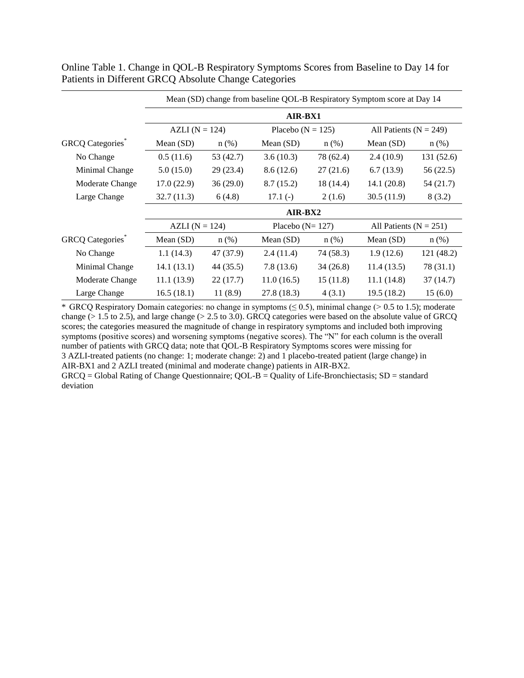|                         |                    | Mean (SD) change from baseline QOL-B Respiratory Symptom score at Day 14 |                       |           |                            |            |  |  |  |  |
|-------------------------|--------------------|--------------------------------------------------------------------------|-----------------------|-----------|----------------------------|------------|--|--|--|--|
|                         |                    | AIR-BX1                                                                  |                       |           |                            |            |  |  |  |  |
|                         | AZLI ( $N = 124$ ) |                                                                          | Placebo ( $N = 125$ ) |           | All Patients ( $N = 249$ ) |            |  |  |  |  |
| <b>GRCQ</b> Categories* | Mean (SD)          | $n$ (%)                                                                  | Mean (SD)             | $n$ (%)   | Mean (SD)                  | $n$ (%)    |  |  |  |  |
| No Change               | 0.5(11.6)          | 53 $(42.7)$                                                              | 3.6(10.3)             | 78 (62.4) | 2.4(10.9)                  | 131(52.6)  |  |  |  |  |
| Minimal Change          | 5.0(15.0)          | 29(23.4)                                                                 | 8.6(12.6)             | 27(21.6)  | 6.7(13.9)                  | 56(22.5)   |  |  |  |  |
| Moderate Change         | 17.0(22.9)         | 36(29.0)                                                                 | 8.7(15.2)             | 18 (14.4) | 14.1(20.8)                 | 54(21.7)   |  |  |  |  |
| Large Change            | 32.7(11.3)         | 6(4.8)                                                                   | $17.1(-)$             | 2(1.6)    | 30.5(11.9)                 | 8(3.2)     |  |  |  |  |
|                         |                    |                                                                          | AIR-BX2               |           |                            |            |  |  |  |  |
|                         | AZLI ( $N = 124$ ) |                                                                          | Placebo ( $N = 127$ ) |           | All Patients ( $N = 251$ ) |            |  |  |  |  |
| <b>GRCQ</b> Categories* | Mean (SD)          | $n$ (%)                                                                  | Mean (SD)             | $n$ (%)   | Mean (SD)                  | $n$ (%)    |  |  |  |  |
| No Change               | 1.1(14.3)          | 47 (37.9)                                                                | 2.4(11.4)             | 74 (58.3) | 1.9(12.6)                  | 121 (48.2) |  |  |  |  |
| Minimal Change          | 14.1(13.1)         | 44 (35.5)                                                                | 7.8(13.6)             | 34(26.8)  | 11.4(13.5)                 | 78 (31.1)  |  |  |  |  |
| Moderate Change         | 11.1(13.9)         | 22(17.7)                                                                 | 11.0(16.5)            | 15(11.8)  | 11.1(14.8)                 | 37 (14.7)  |  |  |  |  |
| Large Change            | 16.5(18.1)         | 11(8.9)                                                                  | 27.8 (18.3)           | 4(3.1)    | 19.5(18.2)                 | 15(6.0)    |  |  |  |  |

Online Table 1. Change in QOL-B Respiratory Symptoms Scores from Baseline to Day 14 for Patients in Different GRCQ Absolute Change Categories

\* GRCQ Respiratory Domain categories: no change in symptoms  $(\leq 0.5)$ , minimal change (> 0.5 to 1.5); moderate change  $(> 1.5$  to 2.5), and large change  $(> 2.5$  to 3.0). GRCQ categories were based on the absolute value of GRCQ scores; the categories measured the magnitude of change in respiratory symptoms and included both improving symptoms (positive scores) and worsening symptoms (negative scores). The "N" for each column is the overall number of patients with GRCQ data; note that QOL-B Respiratory Symptoms scores were missing for 3 AZLI-treated patients (no change: 1; moderate change: 2) and 1 placebo-treated patient (large change) in AIR-BX1 and 2 AZLI treated (minimal and moderate change) patients in AIR-BX2.

GRCQ = Global Rating of Change Questionnaire; QOL-B = Quality of Life-Bronchiectasis; SD = standard deviation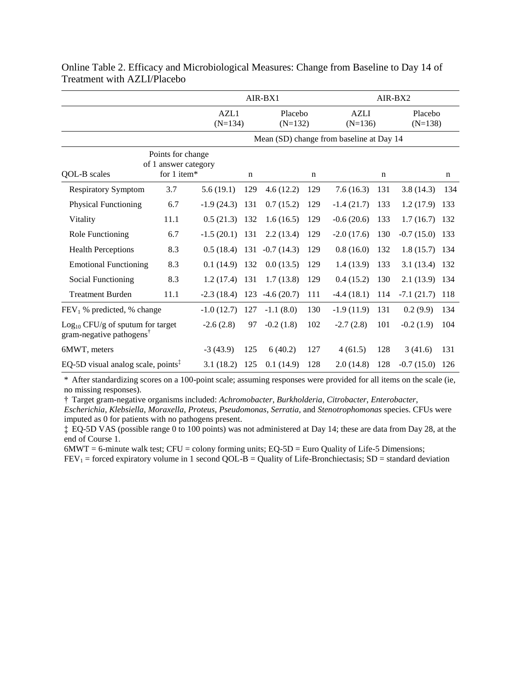|                                                                            |                                           | AIR-BX1           |             |                      | AIR-BX2     |                                          |             |                      |             |
|----------------------------------------------------------------------------|-------------------------------------------|-------------------|-------------|----------------------|-------------|------------------------------------------|-------------|----------------------|-------------|
|                                                                            |                                           | AZL1<br>$(N=134)$ |             | Placebo<br>$(N=132)$ |             | <b>AZLI</b><br>$(N=136)$                 |             | Placebo<br>$(N=138)$ |             |
|                                                                            |                                           |                   |             |                      |             | Mean (SD) change from baseline at Day 14 |             |                      |             |
|                                                                            | Points for change<br>of 1 answer category |                   |             |                      |             |                                          |             |                      |             |
| QOL-B scales                                                               | for $1$ item*                             |                   | $\mathbf n$ |                      | $\mathbf n$ |                                          | $\mathbf n$ |                      | $\mathbf n$ |
| <b>Respiratory Symptom</b>                                                 | 3.7                                       | 5.6(19.1)         | 129         | 4.6(12.2)            | 129         | 7.6(16.3)                                | 131         | 3.8(14.3)            | 134         |
| <b>Physical Functioning</b>                                                | 6.7                                       | $-1.9(24.3)$      | 131         | 0.7(15.2)            | 129         | $-1.4(21.7)$                             | 133         | 1.2(17.9)            | 133         |
| Vitality                                                                   | 11.1                                      | 0.5(21.3)         | 132         | 1.6(16.5)            | 129         | $-0.6(20.6)$                             | 133         | 1.7(16.7)            | 132         |
| Role Functioning                                                           | 6.7                                       | $-1.5(20.1)$      | 131         | 2.2(13.4)            | 129         | $-2.0(17.6)$                             | 130         | $-0.7(15.0)$ 133     |             |
| <b>Health Perceptions</b>                                                  | 8.3                                       | 0.5(18.4)         | 131         | $-0.7(14.3)$         | 129         | 0.8(16.0)                                | 132         | $1.8(15.7)$ 134      |             |
| <b>Emotional Functioning</b>                                               | 8.3                                       | 0.1(14.9)         | 132         | 0.0(13.5)            | 129         | 1.4(13.9)                                | 133         | 3.1 (13.4) 132       |             |
| Social Functioning                                                         | 8.3                                       | 1.2(17.4)         | 131         | 1.7(13.8)            | 129         | 0.4(15.2)                                | 130         | 2.1 (13.9) 134       |             |
| <b>Treatment Burden</b>                                                    | 11.1                                      | $-2.3(18.4)$      | 123         | $-4.6(20.7)$         | 111         | $-4.4(18.1)$                             | 114         | $-7.1(21.7)$ 118     |             |
| $FEV1$ % predicted, % change                                               |                                           | $-1.0(12.7)$      | 127         | $-1.1(8.0)$          | 130         | $-1.9(11.9)$                             | 131         | 0.2(9.9)             | 134         |
| $Log10 CFU/g$ of sputum for target<br>gram-negative pathogens <sup>†</sup> |                                           | $-2.6(2.8)$       | 97          | $-0.2(1.8)$          | 102         | $-2.7(2.8)$                              | 101         | $-0.2(1.9)$          | 104         |
| 6MWT, meters                                                               |                                           | $-3(43.9)$        | 125         | 6(40.2)              | 127         | 4(61.5)                                  | 128         | 3(41.6)              | 131         |
| EQ-5D visual analog scale, points <sup><math>\bar{x}</math></sup>          |                                           | 3.1(18.2)         | 125         | 0.1(14.9)            | 128         | 2.0(14.8)                                | 128         | $-0.7(15.0)$         | 126         |

Online Table 2. Efficacy and Microbiological Measures: Change from Baseline to Day 14 of Treatment with AZLI/Placebo

\* After standardizing scores on a 100-point scale; assuming responses were provided for all items on the scale (ie, no missing responses).

† Target gram-negative organisms included: *Achromobacter*, *Burkholderia*, *Citrobacter*, *Enterobacter*,

*Escherichia*, *Klebsiella*, *Moraxella*, *Proteus*, *Pseudomonas*, *Serratia*, and *Stenotrophomonas* species. CFUs were imputed as 0 for patients with no pathogens present.

‡ EQ-5D VAS (possible range 0 to 100 points) was not administered at Day 14; these are data from Day 28, at the end of Course 1.

 $6MWT = 6$ -minute walk test;  $CFU =$  colony forming units;  $EQ-5D =$  Euro Quality of Life-5 Dimensions;

 $FEV_1 =$  forced expiratory volume in 1 second QOL-B = Quality of Life-Bronchiectasis; SD = standard deviation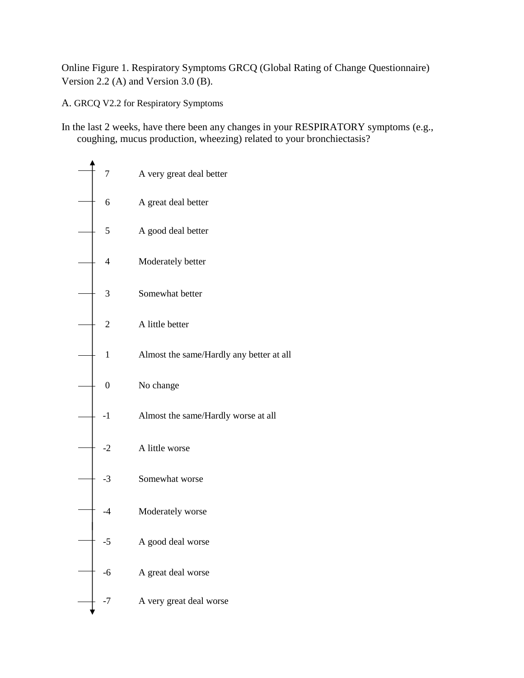Online Figure 1. Respiratory Symptoms GRCQ (Global Rating of Change Questionnaire) Version 2.2 (A) and Version 3.0 (B).

A. GRCQ V2.2 for Respiratory Symptoms

In the last 2 weeks, have there been any changes in your RESPIRATORY symptoms (e.g., coughing, mucus production, wheezing) related to your bronchiectasis?

| $\overline{7}$ | A very great deal better                 |
|----------------|------------------------------------------|
| 6              | A great deal better                      |
| 5              | A good deal better                       |
| $\overline{4}$ | Moderately better                        |
| 3              | Somewhat better                          |
| $\overline{2}$ | A little better                          |
| $\mathbf{1}$   | Almost the same/Hardly any better at all |
| $\mathbf{0}$   | No change                                |
| $-1$           | Almost the same/Hardly worse at all      |
| $-2$           | A little worse                           |
| $-3$           | Somewhat worse                           |
| $-4$           | Moderately worse                         |
| -5             | A good deal worse                        |
| $-6$           | A great deal worse                       |
| -7             | A very great deal worse                  |